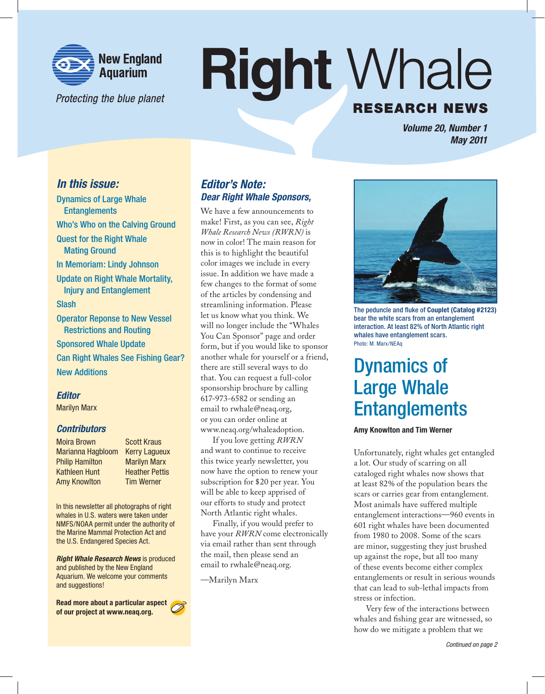

Protecting the blue planet

# **Right Whale RESEARCH NEWS**

*Volume 20, Number 1 May 2011*

### *In this issue:*

Dynamics of Large Whale **Entanglements** Who's Who on the Calving Ground Quest for the Right Whale Mating Ground In Memoriam: Lindy Johnson Update on Right Whale Mortality, Injury and Entanglement Slash Operator Reponse to New Vessel Restrictions and Routing Sponsored Whale Update Can Right Whales See Fishing Gear? New Additions

#### *Editor*

Marilyn Marx

#### *Contributors*

Moira Brown Marianna Hagbloom Philip Hamilton Kathleen Hunt Amy Knowlton

Scott Kraus Kerry Lagueux Marilyn Marx Heather Pettis Tim Werner

In this newsletter all photographs of right whales in U.S. waters were taken under NMFS/NOAA permit under the authority of the Marine Mammal Protection Act and the U.S. Endangered Species Act.

*Right Whale Research News* is produced and published by the New England Aquarium. We welcome your comments and suggestions!

**Read more about a particular aspect of our project at www.neaq.org.**



### *Editor's Note: Dear Right Whale Sponsors,*

We have a few announcements to make! First, as you can see, *Right Whale Research News (RWRN)* is now in color! The main reason for this is to highlight the beautiful color images we include in every issue. In addition we have made a few changes to the format of some of the articles by condensing and streamlining information. Please let us know what you think. We will no longer include the "Whales You Can Sponsor" page and order form, but if you would like to sponsor another whale for yourself or a friend, there are still several ways to do that. You can request a full-color sponsorship brochure by calling 617-973-6582 or sending an email to rwhale@neaq.org, or you can order online at www.neaq.org/whaleadoption.

If you love getting *RWRN* and want to continue to receive this twice yearly newsletter, you now have the option to renew your subscription for \$20 per year. You will be able to keep apprised of our efforts to study and protect North Atlantic right whales.

Finally, if you would prefer to have your *RWRN* come electronically via email rather than sent through the mail, then please send an email to rwhale@neaq.org.

—Marilyn Marx



The peduncle and fluke of **Couplet (Catalog #2123)** bear the white scars from an entanglement interaction. At least 82% of North Atlantic right whales have entanglement scars. Photo: M. Marx/NEAq

### Dynamics of Large Whale **Entanglements**

#### **Amy Knowlton and Tim Werner**

Unfortunately, right whales get entangled a lot. Our study of scarring on all cataloged right whales now shows that at least 82% of the population bears the scars or carries gear from entanglement. Most animals have suffered multiple entanglement interactions—960 events in 601 right whales have been documented from 1980 to 2008. Some of the scars are minor, suggesting they just brushed up against the rope, but all too many of these events become either complex entanglements or result in serious wounds that can lead to sub-lethal impacts from stress or infection.

Very few of the interactions between whales and fishing gear are witnessed, so how do we mitigate a problem that we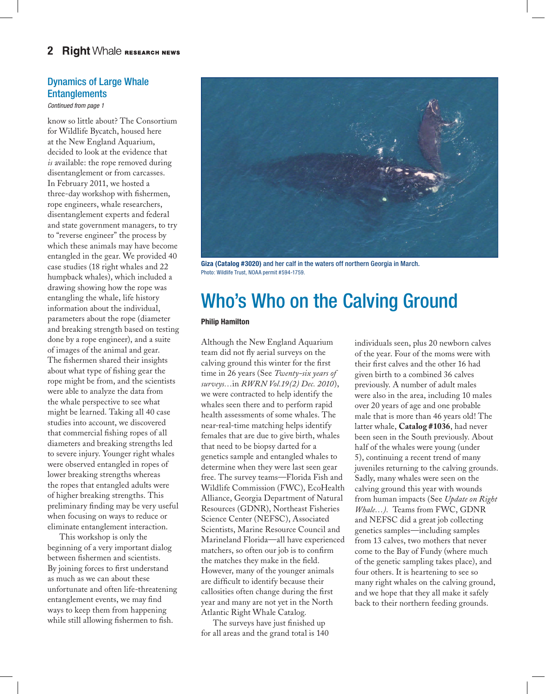### Dynamics of Large Whale **Entanglements**

*Continued from page 1*

know so little about? The Consortium for Wildlife Bycatch, housed here at the New England Aquarium, decided to look at the evidence that *is* available: the rope removed during disentanglement or from carcasses. In February 2011, we hosted a three-day workshop with fishermen, rope engineers, whale researchers, disentanglement experts and federal and state government managers, to try to "reverse engineer" the process by which these animals may have become entangled in the gear. We provided 40 case studies (18 right whales and 22 humpback whales), which included a drawing showing how the rope was entangling the whale, life history information about the individual, parameters about the rope (diameter and breaking strength based on testing done by a rope engineer), and a suite of images of the animal and gear. The fishermen shared their insights about what type of fishing gear the rope might be from, and the scientists were able to analyze the data from the whale perspective to see what might be learned. Taking all 40 case studies into account, we discovered that commercial fishing ropes of all diameters and breaking strengths led to severe injury. Younger right whales were observed entangled in ropes of lower breaking strengths whereas the ropes that entangled adults were of higher breaking strengths. This preliminary finding may be very useful when focusing on ways to reduce or eliminate entanglement interaction.

This workshop is only the beginning of a very important dialog between fishermen and scientists. By joining forces to first understand as much as we can about these unfortunate and often life-threatening entanglement events, we may find ways to keep them from happening while still allowing fishermen to fish.



**Giza (Catalog #3020)** and her calf in the waters off northern Georgia in March. Photo: Wildlife Trust, NOAA permit #594-1759.

# Who's Who on the Calving Ground

#### **Philip Hamilton**

Although the New England Aquarium team did not fly aerial surveys on the calving ground this winter for the first time in 26 years (See *Twenty-six years of surveys…*in *RWRN Vol.19(2) Dec. 2010*), we were contracted to help identify the whales seen there and to perform rapid health assessments of some whales. The near-real-time matching helps identify females that are due to give birth, whales that need to be biopsy darted for a genetics sample and entangled whales to determine when they were last seen gear free. The survey teams—Florida Fish and Wildlife Commission (FWC), EcoHealth Alliance, Georgia Department of Natural Resources (GDNR), Northeast Fisheries Science Center (NEFSC), Associated Scientists, Marine Resource Council and Marineland Florida—all have experienced matchers, so often our job is to confirm the matches they make in the field. However, many of the younger animals are difficult to identify because their callosities often change during the first year and many are not yet in the North Atlantic Right Whale Catalog.

The surveys have just finished up for all areas and the grand total is 140

individuals seen, plus 20 newborn calves of the year. Four of the moms were with their first calves and the other 16 had given birth to a combined 36 calves previously. A number of adult males were also in the area, including 10 males over 20 years of age and one probable male that is more than 46 years old! The latter whale, **Catalog #1036**, had never been seen in the South previously. About half of the whales were young (under 5), continuing a recent trend of many juveniles returning to the calving grounds. Sadly, many whales were seen on the calving ground this year with wounds from human impacts (See *Update on Right Whale…).* Teams from FWC, GDNR and NEFSC did a great job collecting genetics samples—including samples from 13 calves, two mothers that never come to the Bay of Fundy (where much of the genetic sampling takes place), and four others. It is heartening to see so many right whales on the calving ground, and we hope that they all make it safely back to their northern feeding grounds.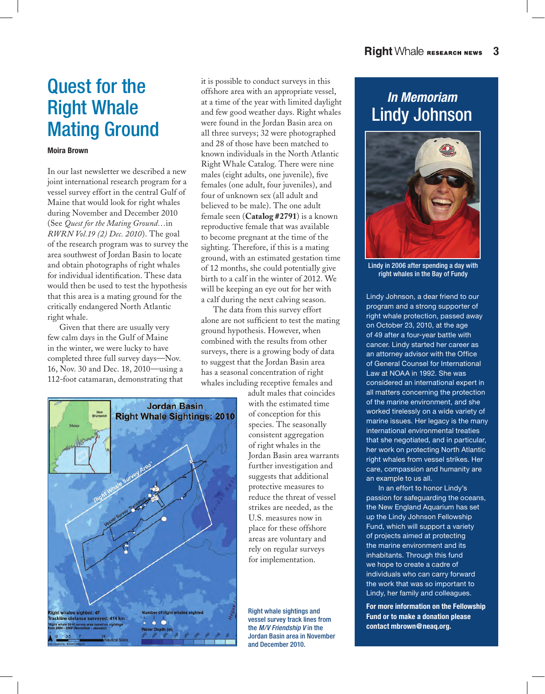# Quest for the Right Whale Mating Ground

#### **Moira Brown**

In our last newsletter we described a new joint international research program for a vessel survey effort in the central Gulf of Maine that would look for right whales during November and December 2010 (See *Quest for the Mating Ground…*in *RWRN Vol.19 (2) Dec. 2010*). The goal of the research program was to survey the area southwest of Jordan Basin to locate and obtain photographs of right whales for individual identification. These data would then be used to test the hypothesis that this area is a mating ground for the critically endangered North Atlantic right whale.

Given that there are usually very few calm days in the Gulf of Maine in the winter, we were lucky to have completed three full survey days—Nov. 16, Nov. 30 and Dec. 18, 2010—using a 112-foot catamaran, demonstrating that



it is possible to conduct surveys in this offshore area with an appropriate vessel, at a time of the year with limited daylight and few good weather days. Right whales were found in the Jordan Basin area on all three surveys; 32 were photographed and 28 of those have been matched to known individuals in the North Atlantic Right Whale Catalog. There were nine males (eight adults, one juvenile), five females (one adult, four juveniles), and four of unknown sex (all adult and believed to be male). The one adult female seen (**Catalog #2791**) is a known reproductive female that was available to become pregnant at the time of the sighting. Therefore, if this is a mating ground, with an estimated gestation time of 12 months, she could potentially give birth to a calf in the winter of 2012. We will be keeping an eye out for her with a calf during the next calving season.

The data from this survey effort alone are not sufficient to test the mating ground hypothesis. However, when combined with the results from other surveys, there is a growing body of data to suggest that the Jordan Basin area has a seasonal concentration of right whales including receptive females and

> adult males that coincides with the estimated time of conception for this species. The seasonally consistent aggregation of right whales in the Jordan Basin area warrants further investigation and suggests that additional protective measures to reduce the threat of vessel strikes are needed, as the U.S. measures now in place for these offshore areas are voluntary and rely on regular surveys for implementation.

Right whale sightings and vessel survey track lines from the *M/V Friendship V* in the Jordan Basin area in November and December 2010.

### *In Memoriam* Lindy Johnson



Lindy in 2006 after spending a day with right whales in the Bay of Fundy

Lindy Johnson, a dear friend to our program and a strong supporter of right whale protection, passed away on October 23, 2010, at the age of 49 after a four-year battle with cancer. Lindy started her career as an attorney advisor with the Office of General Counsel for International Law at NOAA in 1992. She was considered an international expert in all matters concerning the protection of the marine environment, and she worked tirelessly on a wide variety of marine issues. Her legacy is the many international environmental treaties that she negotiated, and in particular, her work on protecting North Atlantic right whales from vessel strikes. Her care, compassion and humanity are an example to us all.

In an effort to honor Lindy's passion for safeguarding the oceans, the New England Aquarium has set up the Lindy Johnson Fellowship Fund, which will support a variety of projects aimed at protecting the marine environment and its inhabitants. Through this fund we hope to create a cadre of individuals who can carry forward the work that was so important to Lindy, her family and colleagues.

**For more information on the Fellowship Fund or to make a donation please contact mbrown@neaq.org.**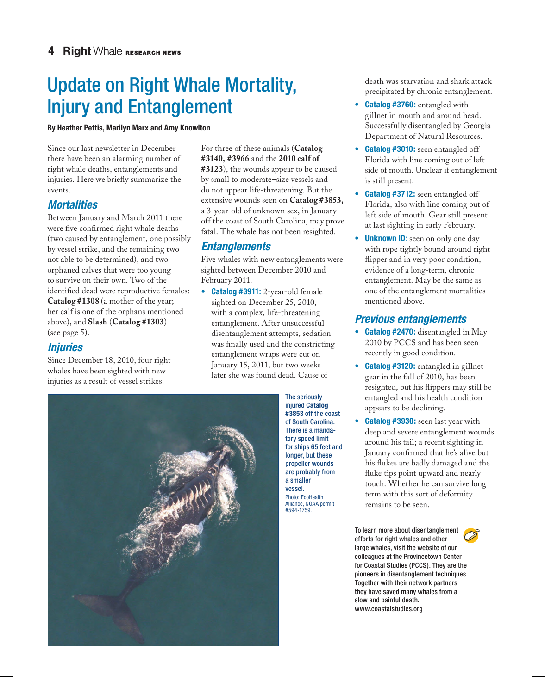# Update on Right Whale Mortality, Injury and Entanglement

#### **By Heather Pettis, Marilyn Marx and Amy Knowlton**

Since our last newsletter in December there have been an alarming number of right whale deaths, entanglements and injuries. Here we briefly summarize the events.

### *Mortalities*

Between January and March 2011 there were five confirmed right whale deaths (two caused by entanglement, one possibly by vessel strike, and the remaining two not able to be determined), and two orphaned calves that were too young to survive on their own. Two of the identified dead were reproductive females: **Catalog #1308** (a mother of the year; her calf is one of the orphans mentioned above), and **Slash** (**Catalog #1303**) (see page 5).

### *Injuries*

Since December 18, 2010, four right whales have been sighted with new injuries as a result of vessel strikes.

For three of these animals (**Catalog #3140, #3966** and the **2010 calf of #3123**), the wounds appear to be caused by small to moderate–size vessels and do not appear life-threatening. But the extensive wounds seen on **Catalog #3853,** a 3-year-old of unknown sex, in January off the coast of South Carolina, may prove fatal. The whale has not been resighted.

### *Entanglements*

Five whales with new entanglements were sighted between December 2010 and February 2011.

**• Catalog #3911:** 2-year-old female sighted on December 25, 2010, with a complex, life-threatening entanglement. After unsuccessful disentanglement attempts, sedation was finally used and the constricting entanglement wraps were cut on January 15, 2011, but two weeks later she was found dead. Cause of

> The seriously injured **Catalog #3853** off the coast of South Carolina. There is a mandatory speed limit for ships 65 feet and longer, but these propeller wounds are probably from a smaller vessel. Photo: EcoHealth Alliance, NOAA permit #594-1759.

death was starvation and shark attack precipitated by chronic entanglement.

- **Catalog #3760:** entangled with gillnet in mouth and around head. Successfully disentangled by Georgia Department of Natural Resources.
- **Catalog #3010:** seen entangled off Florida with line coming out of left side of mouth. Unclear if entanglement is still present.
- **• Catalog #3712:** seen entangled off Florida, also with line coming out of left side of mouth. Gear still present at last sighting in early February.
- **Unknown ID:** seen on only one day with rope tightly bound around right flipper and in very poor condition, evidence of a long-term, chronic entanglement. May be the same as one of the entanglement mortalities mentioned above.

### *Previous entanglements*

- **• Catalog #2470:** disentangled in May 2010 by PCCS and has been seen recently in good condition.
- **• Catalog #3120:** entangled in gillnet gear in the fall of 2010, has been resighted, but his flippers may still be entangled and his health condition appears to be declining.
- **• Catalog #3930:** seen last year with deep and severe entanglement wounds around his tail; a recent sighting in January confirmed that he's alive but his flukes are badly damaged and the fluke tips point upward and nearly touch. Whether he can survive long term with this sort of deformity remains to be seen.

To learn more about disentanglement efforts for right whales and other large whales, visit the website of our colleagues at the Provincetown Center for Coastal Studies (PCCS). They are the pioneers in disentanglement techniques. Together with their network partners they have saved many whales from a slow and painful death. www.coastalstudies.org

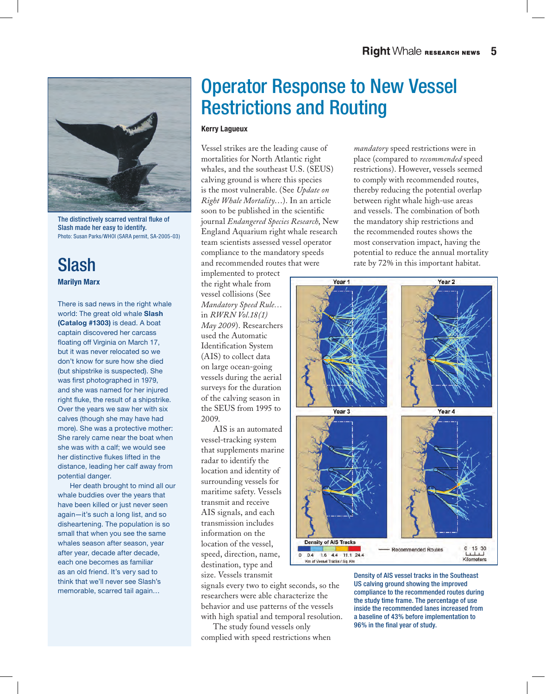

The distinctively scarred ventral fluke of Slash made her easy to identify. Photo: Susan Parks/WHOI (SARA permit, SA-2005-03)

### Slash **Marilyn Marx**

There is sad news in the right whale world: The great old whale **Slash (Catalog #1303)** is dead. A boat captain discovered her carcass floating off Virginia on March 17, but it was never relocated so we don't know for sure how she died (but shipstrike is suspected). She was first photographed in 1979, and she was named for her injured right fluke, the result of a shipstrike. Over the years we saw her with six calves (though she may have had more). She was a protective mother: She rarely came near the boat when she was with a calf; we would see her distinctive flukes lifted in the distance, leading her calf away from potential danger.

Her death brought to mind all our whale buddies over the years that have been killed or just never seen again—it's such a long list, and so disheartening. The population is so small that when you see the same whales season after season, year after year, decade after decade, each one becomes as familiar as an old friend. It's very sad to think that we'll never see Slash's memorable, scarred tail again…

# Operator Response to New Vessel Restrictions and Routing

#### **Kerry Lagueux**

Vessel strikes are the leading cause of mortalities for North Atlantic right whales, and the southeast U.S. (SEUS) calving ground is where this species is the most vulnerable. (See *Update on Right Whale Mortality*…). In an article soon to be published in the scientific journal *Endangered Species Research*, New England Aquarium right whale research team scientists assessed vessel operator compliance to the mandatory speeds and recommended routes that were

implemented to protect the right whale from vessel collisions (See *Mandatory Speed Rule…* in *RWRN Vol.18(1) May 2009*). Researchers used the Automatic Identification System (AIS) to collect data on large ocean-going vessels during the aerial surveys for the duration of the calving season in the SEUS from 1995 to 2009.

AIS is an automated vessel-tracking system that supplements marine radar to identify the location and identity of surrounding vessels for maritime safety. Vessels transmit and receive AIS signals, and each transmission includes information on the location of the vessel, speed, direction, name, destination, type and size. Vessels transmit

signals every two to eight seconds, so the researchers were able characterize the behavior and use patterns of the vessels with high spatial and temporal resolution.

The study found vessels only complied with speed restrictions when *mandatory* speed restrictions were in place (compared to *recommended* speed restrictions). However, vessels seemed to comply with recommended routes, thereby reducing the potential overlap between right whale high-use areas and vessels. The combination of both the mandatory ship restrictions and the recommended routes shows the most conservation impact, having the potential to reduce the annual mortality rate by 72% in this important habitat.



Density of AIS vessel tracks in the Southeast US calving ground showing the improved compliance to the recommended routes during the study time frame. The percentage of use inside the recommended lanes increased from a baseline of 43% before implementation to 96% in the final year of study.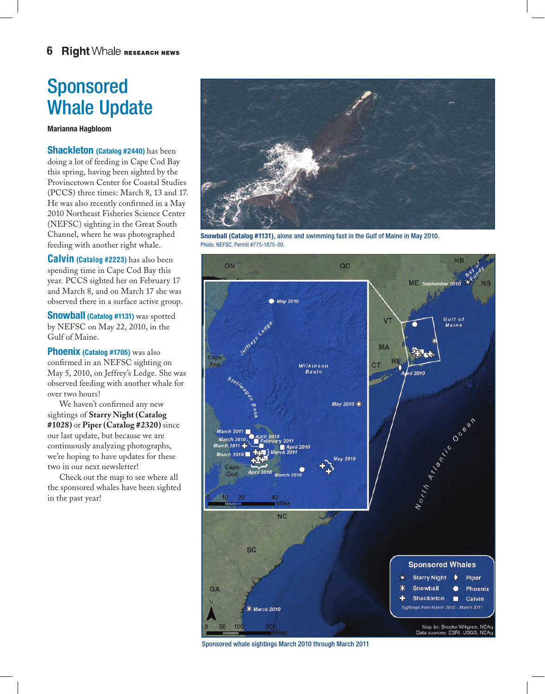# Sponsored Whale Update

**Marianna Hagbloom**

**Shackleton (Catalog #2440)** has been doing a lot of feeding in Cape Cod Bay this spring, having been sighted by the Provincetown Center for Coastal Studies (PCCS) three times: March 8, 13 and 17. He was also recently confirmed in a May 2010 Northeast Fisheries Science Center (NEFSC) sighting in the Great South Channel, where he was photographed feeding with another right whale.

**Calvin (Catalog #2223)** has also been spending time in Cape Cod Bay this year. PCCS sighted her on February 17 and March 8, and on March 17 she was observed there in a surface active group.

**Snowball (Catalog #1131)** was spotted by NEFSC on May 22, 2010, in the Gulf of Maine.

**Phoenix (Catalog #1705)** was also confirmed in an NEFSC sighting on May 5, 2010, on Jeffrey's Ledge. She was observed feeding with another whale for over two hours!

We haven't confirmed any new sightings of **Starry Night (Catalog #1028)** or **Piper (Catalog #2320)** since our last update, but because we are continuously analyzing photographs, we're hoping to have updates for these two in our next newsletter!

Check out the map to see where all the sponsored whales have been sighted in the past year!



**Snowball (Catalog #1131)**, alone and swimming fast in the Gulf of Maine in May 2010. Photo: NEFSC. Permit #775-1875-00.



Sponsored whale sightings March 2010 through March 2011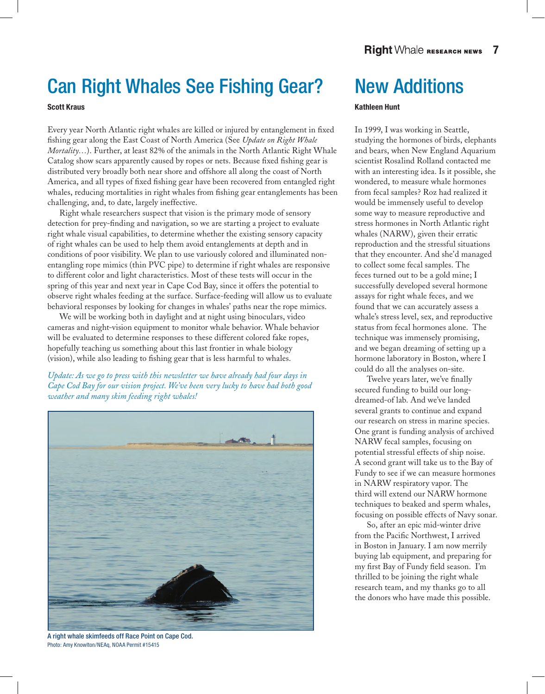# Can Right Whales See Fishing Gear?

#### **Scott Kraus**

Every year North Atlantic right whales are killed or injured by entanglement in fixed fishing gear along the East Coast of North America (See *Update on Right Whale Mortality…*). Further, at least 82% of the animals in the North Atlantic Right Whale Catalog show scars apparently caused by ropes or nets. Because fixed fishing gear is distributed very broadly both near shore and offshore all along the coast of North America, and all types of fixed fishing gear have been recovered from entangled right whales, reducing mortalities in right whales from fishing gear entanglements has been challenging, and, to date, largely ineffective.

Right whale researchers suspect that vision is the primary mode of sensory detection for prey-finding and navigation, so we are starting a project to evaluate right whale visual capabilities, to determine whether the existing sensory capacity of right whales can be used to help them avoid entanglements at depth and in conditions of poor visibility. We plan to use variously colored and illuminated nonentangling rope mimics (thin PVC pipe) to determine if right whales are responsive to different color and light characteristics. Most of these tests will occur in the spring of this year and next year in Cape Cod Bay, since it offers the potential to observe right whales feeding at the surface. Surface-feeding will allow us to evaluate behavioral responses by looking for changes in whales' paths near the rope mimics.

We will be working both in daylight and at night using binoculars, video cameras and night-vision equipment to monitor whale behavior. Whale behavior will be evaluated to determine responses to these different colored fake ropes, hopefully teaching us something about this last frontier in whale biology (vision), while also leading to fishing gear that is less harmful to whales.

*Update: As we go to press with this newsletter we have already had four days in Cape Cod Bay for our vision project. We've been very lucky to have had both good weather and many skim feeding right whales!*



A right whale skimfeeds off Race Point on Cape Cod. Photo: Amy Knowlton/NEAq, NOAA Permit #15415

# New Additions

#### **Kathleen Hunt**

In 1999, I was working in Seattle, studying the hormones of birds, elephants and bears, when New England Aquarium scientist Rosalind Rolland contacted me with an interesting idea. Is it possible, she wondered, to measure whale hormones from fecal samples? Roz had realized it would be immensely useful to develop some way to measure reproductive and stress hormones in North Atlantic right whales (NARW), given their erratic reproduction and the stressful situations that they encounter. And she'd managed to collect some fecal samples. The feces turned out to be a gold mine; I successfully developed several hormone assays for right whale feces, and we found that we can accurately assess a whale's stress level, sex, and reproductive status from fecal hormones alone. The technique was immensely promising, and we began dreaming of setting up a hormone laboratory in Boston, where I could do all the analyses on-site.

Twelve years later, we've finally secured funding to build our longdreamed-of lab. And we've landed several grants to continue and expand our research on stress in marine species. One grant is funding analysis of archived NARW fecal samples, focusing on potential stressful effects of ship noise. A second grant will take us to the Bay of Fundy to see if we can measure hormones in NARW respiratory vapor. The third will extend our NARW hormone techniques to beaked and sperm whales, focusing on possible effects of Navy sonar.

So, after an epic mid-winter drive from the Pacific Northwest, I arrived in Boston in January. I am now merrily buying lab equipment, and preparing for my first Bay of Fundy field season. I'm thrilled to be joining the right whale research team, and my thanks go to all the donors who have made this possible.